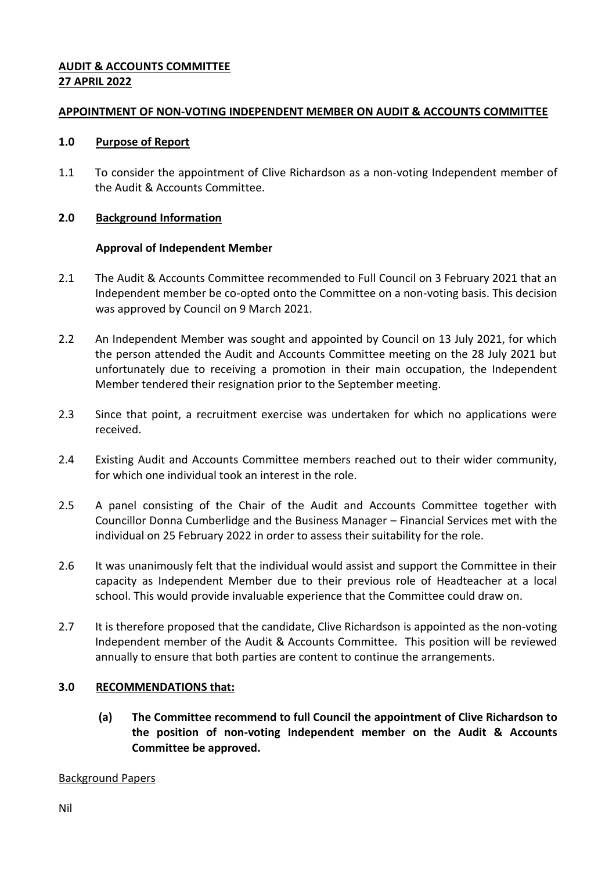## **AUDIT & ACCOUNTS COMMITTEE 27 APRIL 2022**

### **APPOINTMENT OF NON-VOTING INDEPENDENT MEMBER ON AUDIT & ACCOUNTS COMMITTEE**

#### **1.0 Purpose of Report**

1.1 To consider the appointment of Clive Richardson as a non-voting Independent member of the Audit & Accounts Committee.

### **2.0 Background Information**

### **Approval of Independent Member**

- 2.1 The Audit & Accounts Committee recommended to Full Council on 3 February 2021 that an Independent member be co-opted onto the Committee on a non-voting basis. This decision was approved by Council on 9 March 2021.
- 2.2 An Independent Member was sought and appointed by Council on 13 July 2021, for which the person attended the Audit and Accounts Committee meeting on the 28 July 2021 but unfortunately due to receiving a promotion in their main occupation, the Independent Member tendered their resignation prior to the September meeting.
- 2.3 Since that point, a recruitment exercise was undertaken for which no applications were received.
- 2.4 Existing Audit and Accounts Committee members reached out to their wider community, for which one individual took an interest in the role.
- 2.5 A panel consisting of the Chair of the Audit and Accounts Committee together with Councillor Donna Cumberlidge and the Business Manager – Financial Services met with the individual on 25 February 2022 in order to assess their suitability for the role.
- 2.6 It was unanimously felt that the individual would assist and support the Committee in their capacity as Independent Member due to their previous role of Headteacher at a local school. This would provide invaluable experience that the Committee could draw on.
- 2.7 It is therefore proposed that the candidate, Clive Richardson is appointed as the non-voting Independent member of the Audit & Accounts Committee. This position will be reviewed annually to ensure that both parties are content to continue the arrangements.

# **3.0 RECOMMENDATIONS that:**

**(a) The Committee recommend to full Council the appointment of Clive Richardson to the position of non-voting Independent member on the Audit & Accounts Committee be approved.**

### Background Papers